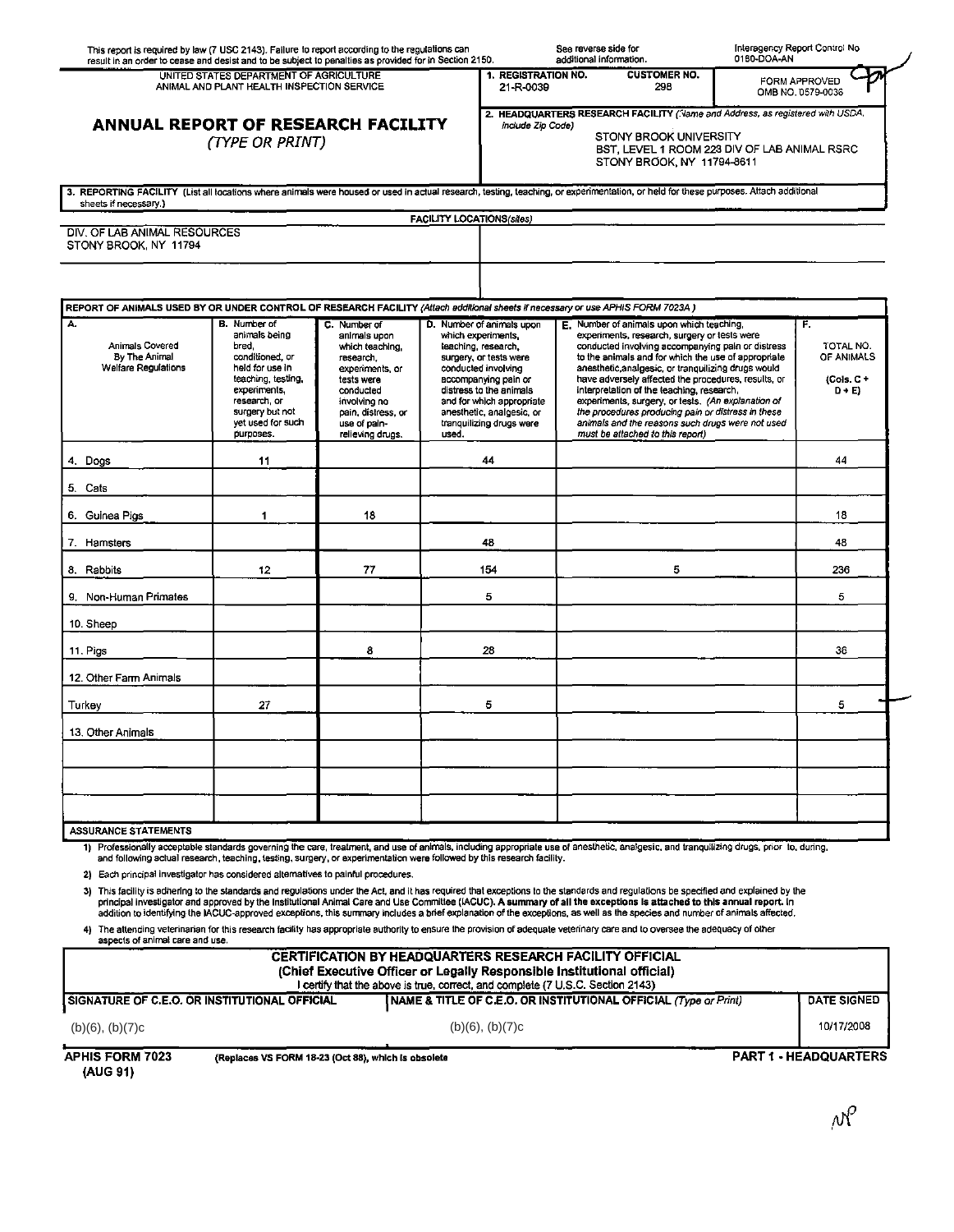| UNITED STATES DEPARTMENT OF AGRICULTURE<br>1. REGISTRATION NO.<br><b>CUSTOMER NO.</b><br>ANIMAL AND PLANT HEALTH INSPECTION SERVICE<br>21-R-0039<br>298<br>OMB NO. 0579-0036<br>2. HEADQUARTERS RESEARCH FACILITY (Name and Address, as registered with USDA,<br>ANNUAL REPORT OF RESEARCH FACILITY<br>include Zip Code)<br>STONY BROOK UNIVERSITY<br>(TYPE OR PRINT)<br>BST, LEVEL 1 ROOM 223 DIV OF LAB ANIMAL RSRC<br>STONY BROOK, NY 11794-8611<br>3. REPORTING FACILITY (List all locations where animals were housed or used in actual research, testing, teaching, or experimentation, or held for these purposes. Attach additional<br>sheets if necessary.)<br>FACILITY LOCATIONS(sites)<br>DIV. OF LAB ANIMAL RESOURCES<br>STONY BROOK, NY 11794<br>REPORT OF ANIMALS USED BY OR UNDER CONTROL OF RESEARCH FACILITY (Attach additional sheets if necessary or use APHIS FORM 7023A)<br>A.<br><b>B.</b> Number of<br>C. Number of<br>D. Number of animals upon<br>E. Number of animals upon which teaching.<br>animals being<br>experiments, research, surgery or tests were<br>animals upon<br>which experiments.<br><b>Animals Covered</b><br>conducted involving accompanying pain or distress<br>bred.<br>which teaching,<br>teaching research. | FORM APPROVED                                      |
|--------------------------------------------------------------------------------------------------------------------------------------------------------------------------------------------------------------------------------------------------------------------------------------------------------------------------------------------------------------------------------------------------------------------------------------------------------------------------------------------------------------------------------------------------------------------------------------------------------------------------------------------------------------------------------------------------------------------------------------------------------------------------------------------------------------------------------------------------------------------------------------------------------------------------------------------------------------------------------------------------------------------------------------------------------------------------------------------------------------------------------------------------------------------------------------------------------------------------------------------------------------|----------------------------------------------------|
|                                                                                                                                                                                                                                                                                                                                                                                                                                                                                                                                                                                                                                                                                                                                                                                                                                                                                                                                                                                                                                                                                                                                                                                                                                                              |                                                    |
|                                                                                                                                                                                                                                                                                                                                                                                                                                                                                                                                                                                                                                                                                                                                                                                                                                                                                                                                                                                                                                                                                                                                                                                                                                                              |                                                    |
|                                                                                                                                                                                                                                                                                                                                                                                                                                                                                                                                                                                                                                                                                                                                                                                                                                                                                                                                                                                                                                                                                                                                                                                                                                                              |                                                    |
|                                                                                                                                                                                                                                                                                                                                                                                                                                                                                                                                                                                                                                                                                                                                                                                                                                                                                                                                                                                                                                                                                                                                                                                                                                                              |                                                    |
|                                                                                                                                                                                                                                                                                                                                                                                                                                                                                                                                                                                                                                                                                                                                                                                                                                                                                                                                                                                                                                                                                                                                                                                                                                                              |                                                    |
|                                                                                                                                                                                                                                                                                                                                                                                                                                                                                                                                                                                                                                                                                                                                                                                                                                                                                                                                                                                                                                                                                                                                                                                                                                                              |                                                    |
|                                                                                                                                                                                                                                                                                                                                                                                                                                                                                                                                                                                                                                                                                                                                                                                                                                                                                                                                                                                                                                                                                                                                                                                                                                                              | Е.                                                 |
| By The Animal<br>to the animals and for which the use of appropriate<br>conditioned, or<br>surgery, or tests were<br>research.<br>Welfare Regulations<br>anesthetic analgesic, or tranquilizing drugs would<br>held for use in<br>experiments, or<br>conducted involving<br>teaching, testing,<br>have adversely affected the procedures, results, or<br>tests were<br>accompanying pain or<br>experiments,<br>distress to the animals<br>interpretation of the teaching, research,<br>conducted<br>research, or<br>experiments, surgery, or tests. (An explanation of<br>involving no<br>and for which appropriate<br>surgery but not<br>anesthetic, analgesic, or<br>the procedures producing pain or distress in these<br>pain, distress, or<br>yet used for such<br>animals and the reasons such drugs were not used<br>tranquilizing drugs were<br>use of pain-<br>purposes.<br>used.<br>must be attached to this report)<br>relieving drugs.                                                                                                                                                                                                                                                                                                           | TOTAL NO.<br>OF ANIMALS<br>$(Cols. C +$<br>$D + E$ |
| 4. Dogs<br>44<br>11                                                                                                                                                                                                                                                                                                                                                                                                                                                                                                                                                                                                                                                                                                                                                                                                                                                                                                                                                                                                                                                                                                                                                                                                                                          | 44                                                 |
| 5. Cats                                                                                                                                                                                                                                                                                                                                                                                                                                                                                                                                                                                                                                                                                                                                                                                                                                                                                                                                                                                                                                                                                                                                                                                                                                                      |                                                    |
| 18<br>6. Guinea Pigs<br>1                                                                                                                                                                                                                                                                                                                                                                                                                                                                                                                                                                                                                                                                                                                                                                                                                                                                                                                                                                                                                                                                                                                                                                                                                                    | 18                                                 |
| 48<br>7. Hamsters                                                                                                                                                                                                                                                                                                                                                                                                                                                                                                                                                                                                                                                                                                                                                                                                                                                                                                                                                                                                                                                                                                                                                                                                                                            | 48                                                 |
| 154<br>5<br>77<br>8. Rabbits<br>12                                                                                                                                                                                                                                                                                                                                                                                                                                                                                                                                                                                                                                                                                                                                                                                                                                                                                                                                                                                                                                                                                                                                                                                                                           | 236                                                |
| 9. Non-Human Primates<br>5                                                                                                                                                                                                                                                                                                                                                                                                                                                                                                                                                                                                                                                                                                                                                                                                                                                                                                                                                                                                                                                                                                                                                                                                                                   | 5                                                  |
| 10. Sheep                                                                                                                                                                                                                                                                                                                                                                                                                                                                                                                                                                                                                                                                                                                                                                                                                                                                                                                                                                                                                                                                                                                                                                                                                                                    |                                                    |
| 8<br>11. Pigs<br>28                                                                                                                                                                                                                                                                                                                                                                                                                                                                                                                                                                                                                                                                                                                                                                                                                                                                                                                                                                                                                                                                                                                                                                                                                                          | 36                                                 |
| 12. Other Farm Animals                                                                                                                                                                                                                                                                                                                                                                                                                                                                                                                                                                                                                                                                                                                                                                                                                                                                                                                                                                                                                                                                                                                                                                                                                                       |                                                    |
| 5<br>Turkey<br>27                                                                                                                                                                                                                                                                                                                                                                                                                                                                                                                                                                                                                                                                                                                                                                                                                                                                                                                                                                                                                                                                                                                                                                                                                                            | 5                                                  |
| 13. Other Animals                                                                                                                                                                                                                                                                                                                                                                                                                                                                                                                                                                                                                                                                                                                                                                                                                                                                                                                                                                                                                                                                                                                                                                                                                                            |                                                    |
|                                                                                                                                                                                                                                                                                                                                                                                                                                                                                                                                                                                                                                                                                                                                                                                                                                                                                                                                                                                                                                                                                                                                                                                                                                                              |                                                    |
|                                                                                                                                                                                                                                                                                                                                                                                                                                                                                                                                                                                                                                                                                                                                                                                                                                                                                                                                                                                                                                                                                                                                                                                                                                                              |                                                    |
| <b>ASSURANCE STATEMENTS</b><br>1) Professionally acceptable standards governing the care, treatment, and use of animals, including appropriate use of anesthetic, analgesic, and tranquilizing drugs, prior to, during,                                                                                                                                                                                                                                                                                                                                                                                                                                                                                                                                                                                                                                                                                                                                                                                                                                                                                                                                                                                                                                      |                                                    |

principal investigator and approved by the Institutional Animal Care and Use Committee (IACUC). **A summary of all the exceptions is attached to this annual report. In**<br>addition to identifying the IACUC-approved exceptions, 4) The attending veterinarian for this research facility has appropriate authority to ensure the provision of adequate veterinary care and to oversee the adequacy of other

| <b>APHIS FORM 7023</b>                                                                                                                                                                                                        | (Replaces VS FORM 18-23 (Oct 88), which is obsolete |                                                                    | <b>PART 1 - HEADQUARTERS</b> |  |
|-------------------------------------------------------------------------------------------------------------------------------------------------------------------------------------------------------------------------------|-----------------------------------------------------|--------------------------------------------------------------------|------------------------------|--|
| (b)(6), (b)(7)c                                                                                                                                                                                                               |                                                     | (b)(6), (b)(7)c                                                    | 10/17/2008                   |  |
|                                                                                                                                                                                                                               | SIGNATURE OF C.E.O. OR INSTITUTIONAL OFFICIAL       | I NAME & TITLE OF C.E.O. OR INSTITUTIONAL OFFICIAL (Type or Print) | <b>DATE SIGNED</b>           |  |
| <b>CERTIFICATION BY HEADQUARTERS RESEARCH FACILITY OFFICIAL</b><br>(Chief Executive Officer or Legally Responsible Institutional official)<br>I certify that the above is true, correct, and complete (7 U.S.C. Section 2143) |                                                     |                                                                    |                              |  |

(AUG 91)

 $\rho \mathcal{N}$